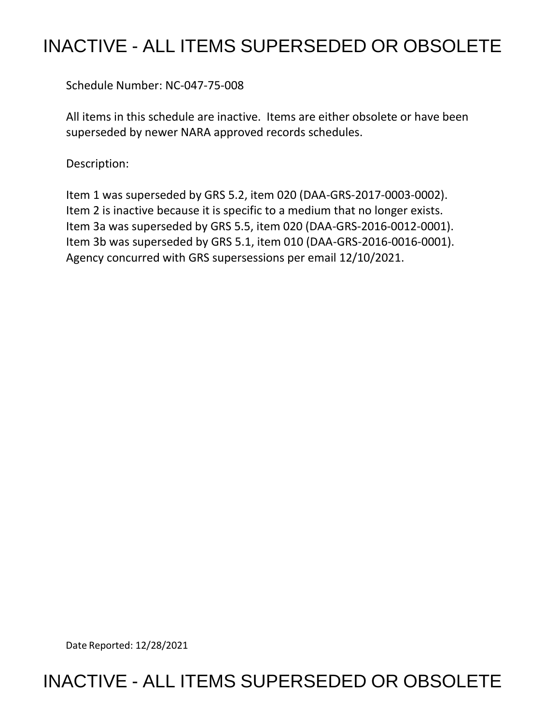## INACTIVE - ALL ITEMS SUPERSEDED OR OBSOLETE

Schedule Number: NC-047-75-008

All items in this schedule are inactive. Items are either obsolete or have been superseded by newer NARA approved records schedules.

Description:

Item 1 was superseded by GRS 5.2, item 020 (DAA-GRS-2017-0003-0002). Item 2 is inactive because it is specific to a medium that no longer exists. Item 3a was superseded by GRS 5.5, item 020 (DAA-GRS-2016-0012-0001). Item 3b was superseded by GRS 5.1, item 010 (DAA-GRS-2016-0016-0001). Agency concurred with GRS supersessions per email 12/10/2021.

Date Reported: 12/28/2021

## INACTIVE - ALL ITEMS SUPERSEDED OR OBSOLETE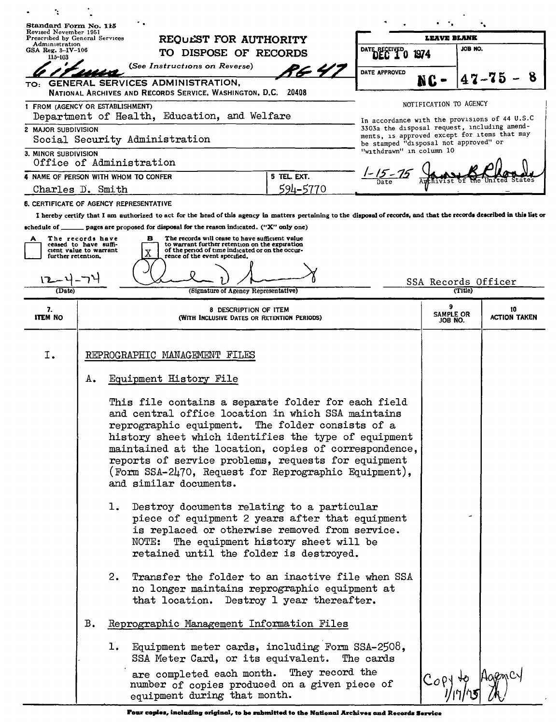| Standard Form No. 115<br>Revised November 1951                               |                                           |                                                                                                                                                                                                                                                                                                                                                                                                                         |                           |         |                                                                                               |  |
|------------------------------------------------------------------------------|-------------------------------------------|-------------------------------------------------------------------------------------------------------------------------------------------------------------------------------------------------------------------------------------------------------------------------------------------------------------------------------------------------------------------------------------------------------------------------|---------------------------|---------|-----------------------------------------------------------------------------------------------|--|
| Prescribed by General Services<br>Administration<br>GSA Reg. $3-IV-106$      |                                           | REQUEST FOR AUTHORITY                                                                                                                                                                                                                                                                                                                                                                                                   | LEAVE BLANK               |         | JOB NO.                                                                                       |  |
| 115-103                                                                      |                                           | DATE RECEIVED<br>TO DISPOSE OF RECORDS                                                                                                                                                                                                                                                                                                                                                                                  | 1974                      |         |                                                                                               |  |
|                                                                              |                                           | (See Instructions on Reverse)<br>P.G. 4.<br>DATE APPROVED                                                                                                                                                                                                                                                                                                                                                               |                           |         |                                                                                               |  |
|                                                                              |                                           | TO: GENERAL SERVICES ADMINISTRATION,<br>NATIONAL ARCHIVES AND RECORDS SERVICE, WASHINGTON, D.C. 20408                                                                                                                                                                                                                                                                                                                   | RC.                       |         | 8                                                                                             |  |
| 1 FROM (AGENCY OR ESTABLISHMENT)                                             |                                           | Department of Health, Education, and Welfare                                                                                                                                                                                                                                                                                                                                                                            | NOTIFICATION TO AGENCY    |         |                                                                                               |  |
| 2 MAJOR SUBDIVISION                                                          |                                           |                                                                                                                                                                                                                                                                                                                                                                                                                         |                           |         | In accordance with the provisions of 44 U.S.C<br>3303a the disposal request, including amend- |  |
|                                                                              |                                           | Social Security Administration<br>be stamped "disposal not approved" or                                                                                                                                                                                                                                                                                                                                                 |                           |         | ments, is approved except for items that may                                                  |  |
| "withdrawn" in column 10<br>3. MINOR SUBDIVISION<br>Office of Administration |                                           |                                                                                                                                                                                                                                                                                                                                                                                                                         |                           |         |                                                                                               |  |
| $\frac{1-15-75}{\pi}$<br>5 TEL. EXT.<br>4 NAME OF PERSON WITH WHOM TO CONFER |                                           |                                                                                                                                                                                                                                                                                                                                                                                                                         |                           |         |                                                                                               |  |
| Charles D. Smith                                                             |                                           | 594-5770                                                                                                                                                                                                                                                                                                                                                                                                                |                           |         |                                                                                               |  |
|                                                                              |                                           | 6. CERTIFICATE OF AGENCY REPRESENTATIVE                                                                                                                                                                                                                                                                                                                                                                                 |                           |         |                                                                                               |  |
|                                                                              |                                           | I hereby certify that I am authorized to act for the head of this agency in matters pertaining to the disposal of records, and that the records described in this list or                                                                                                                                                                                                                                               |                           |         |                                                                                               |  |
| schedule of __                                                               |                                           | pages are proposed for disposal for the reason indicated. ("X" only one)                                                                                                                                                                                                                                                                                                                                                |                           |         |                                                                                               |  |
| А                                                                            | The records have<br>ceased to have suffi- | The records will cease to have sufficient value<br>в<br>to warrant further retention on the expiration                                                                                                                                                                                                                                                                                                                  |                           |         |                                                                                               |  |
| further retention.                                                           | cient value to warrant                    | of the period of time indicated or on the occur-<br>X<br>rence of the event specified.                                                                                                                                                                                                                                                                                                                                  |                           |         |                                                                                               |  |
|                                                                              |                                           |                                                                                                                                                                                                                                                                                                                                                                                                                         |                           |         |                                                                                               |  |
|                                                                              |                                           |                                                                                                                                                                                                                                                                                                                                                                                                                         | SSA Records Officer       |         |                                                                                               |  |
| (Date)                                                                       |                                           | (Signature of Agency Representative)                                                                                                                                                                                                                                                                                                                                                                                    |                           | (Title) |                                                                                               |  |
| 7.<br><b>ITEM NO</b>                                                         |                                           | 8 DESCRIPTION OF ITEM<br>(WITH INCLUSIVE DATES OR RETENTION PERIODS)                                                                                                                                                                                                                                                                                                                                                    | 9<br>SAMPLE OR<br>JOB NO. |         | 10<br><b>ACTION TAKEN</b>                                                                     |  |
|                                                                              |                                           |                                                                                                                                                                                                                                                                                                                                                                                                                         |                           |         |                                                                                               |  |
| I.                                                                           |                                           | REPROGRAPHIC MANAGEMENT FILES                                                                                                                                                                                                                                                                                                                                                                                           |                           |         |                                                                                               |  |
|                                                                              | Α.                                        | Equipment History File                                                                                                                                                                                                                                                                                                                                                                                                  |                           |         |                                                                                               |  |
|                                                                              |                                           | This file contains a separate folder for each field<br>and central office location in which SSA maintains<br>reprographic equipment. The folder consists of a<br>history sheet which identifies the type of equipment<br>maintained at the location, copies of correspondence,<br>reports of service problems, requests for equipment<br>(Form SSA-2470, Request for Reprographic Equipment),<br>and similar documents. |                           |         |                                                                                               |  |
|                                                                              |                                           | 1.<br>Destroy documents relating to a particular<br>piece of equipment 2 years after that equipment<br>is replaced or otherwise removed from service.<br>NOTE: The equipment history sheet will be<br>retained until the folder is destroyed.                                                                                                                                                                           |                           |         |                                                                                               |  |
|                                                                              |                                           | Transfer the folder to an inactive file when SSA<br>2.<br>no longer maintains reprographic equipment at<br>that location. Destroy 1 year thereafter.                                                                                                                                                                                                                                                                    |                           |         |                                                                                               |  |
|                                                                              | $B_{\bullet}$                             | Reprographic Management Information Files                                                                                                                                                                                                                                                                                                                                                                               |                           |         |                                                                                               |  |
|                                                                              |                                           | 1. Equipment meter cards, including Form SSA-2508,<br>SSA Meter Card, or its equivalent. The cards                                                                                                                                                                                                                                                                                                                      |                           |         |                                                                                               |  |
|                                                                              |                                           | are completed each month. They record the<br>number of copies produced on a given piece of<br>equipment during that month.                                                                                                                                                                                                                                                                                              | $Cop y \nleftrightarrow$  |         |                                                                                               |  |